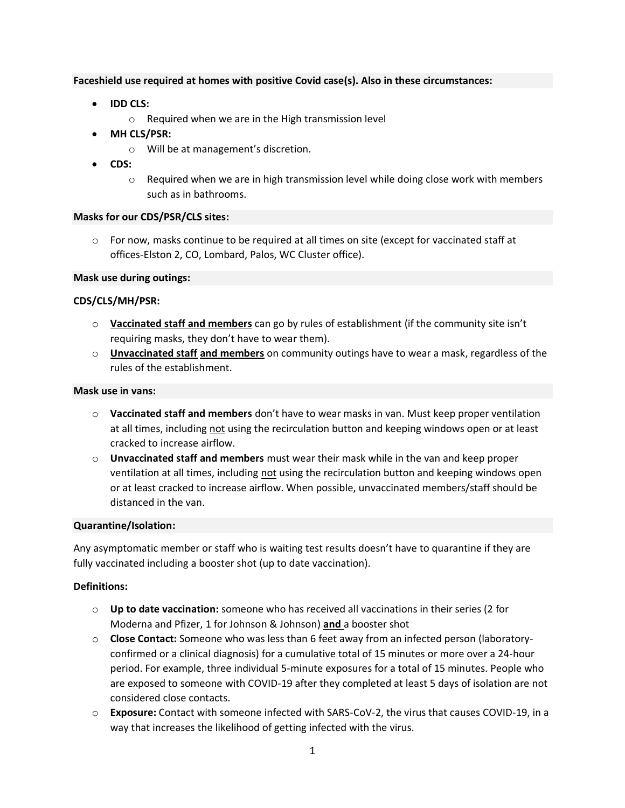## **Faceshield use required at homes with positive Covid case(s). Also in these circumstances:**

- **IDD CLS:**
	- o Required when we are in the High transmission level
- **MH CLS/PSR:**
	- o Will be at management's discretion.
- **CDS:**
	- $\circ$  Required when we are in high transmission level while doing close work with members such as in bathrooms.

## **Masks for our CDS/PSR/CLS sites:**

 $\circ$  For now, masks continue to be required at all times on site (except for vaccinated staff at offices-Elston 2, CO, Lombard, Palos, WC Cluster office).

## **Mask use during outings:**

## **CDS/CLS/MH/PSR:**

- o **Vaccinated staff and members** can go by rules of establishment (if the community site isn't requiring masks, they don't have to wear them).
- o **Unvaccinated staff and members** on community outings have to wear a mask, regardless of the rules of the establishment.

#### **Mask use in vans:**

- o **Vaccinated staff and members** don't have to wear masks in van. Must keep proper ventilation at all times, including not using the recirculation button and keeping windows open or at least cracked to increase airflow.
- o **Unvaccinated staff and members** must wear their mask while in the van and keep proper ventilation at all times, including not using the recirculation button and keeping windows open or at least cracked to increase airflow. When possible, unvaccinated members/staff should be distanced in the van.

#### **Quarantine/Isolation:**

Any asymptomatic member or staff who is waiting test results doesn't have to quarantine if they are fully vaccinated including a booster shot (up to date vaccination).

# **Definitions:**

- o **Up to date vaccination:** someone who has received all vaccinations in their series (2 for Moderna and Pfizer, 1 for Johnson & Johnson) **and** a booster shot
- o **Close Contact:** Someone who was less than 6 feet away from an infected person (laboratoryconfirmed or a clinical diagnosis) for a cumulative total of 15 minutes or more over a 24-hour period. For example, three individual 5-minute exposures for a total of 15 minutes. People who are exposed to someone with COVID-19 after they completed at least 5 days of isolation are not considered close contacts.
- o **Exposure:** Contact with someone infected with SARS-CoV-2, the virus that causes COVID-19, in a way that increases the likelihood of getting infected with the virus.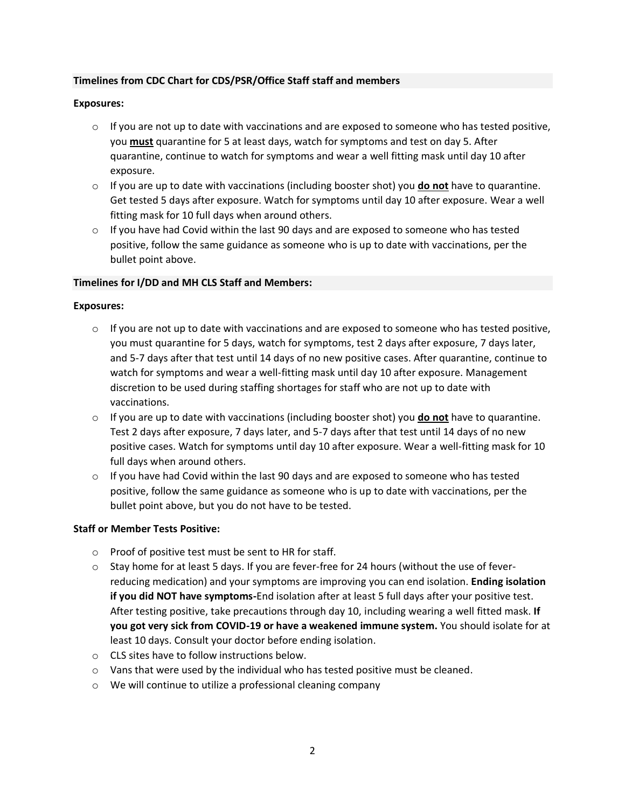# **Timelines from CDC Chart for CDS/PSR/Office Staff staff and members**

### **Exposures:**

- $\circ$  If you are not up to date with vaccinations and are exposed to someone who has tested positive, you **must** quarantine for 5 at least days, watch for symptoms and test on day 5. After quarantine, continue to watch for symptoms and wear a well fitting mask until day 10 after exposure.
- o If you are up to date with vaccinations (including booster shot) you **do not** have to quarantine. Get tested 5 days after exposure. Watch for symptoms until day 10 after exposure. Wear a well fitting mask for 10 full days when around others.
- $\circ$  If you have had Covid within the last 90 days and are exposed to someone who has tested positive, follow the same guidance as someone who is up to date with vaccinations, per the bullet point above.

#### **Timelines for I/DD and MH CLS Staff and Members:**

## **Exposures:**

- $\circ$  If you are not up to date with vaccinations and are exposed to someone who has tested positive, you must quarantine for 5 days, watch for symptoms, test 2 days after exposure, 7 days later, and 5-7 days after that test until 14 days of no new positive cases. After quarantine, continue to watch for symptoms and wear a well-fitting mask until day 10 after exposure. Management discretion to be used during staffing shortages for staff who are not up to date with vaccinations.
- o If you are up to date with vaccinations (including booster shot) you **do not** have to quarantine. Test 2 days after exposure, 7 days later, and 5-7 days after that test until 14 days of no new positive cases. Watch for symptoms until day 10 after exposure. Wear a well-fitting mask for 10 full days when around others.
- $\circ$  If you have had Covid within the last 90 days and are exposed to someone who has tested positive, follow the same guidance as someone who is up to date with vaccinations, per the bullet point above, but you do not have to be tested.

#### **Staff or Member Tests Positive:**

- o Proof of positive test must be sent to HR for staff.
- $\circ$  Stay home for at least 5 days. If you are fever-free for 24 hours (without the use of feverreducing medication) and your symptoms are improving you can end isolation. **Ending isolation if you did NOT have symptoms-**[End isolation after at least 5 full days](https://www.cdc.gov/coronavirus/2019-ncov/your-health/quarantine-isolation.html#end-isolation) after your positive test. After testing positive, take precautions through day 10, including wearing a well fitted mask. **If you got very sick from COVID-19 or have a weakened immune system.** You should isolate for at least 10 days. [Consult your doctor before ending isolation.](https://www.cdc.gov/coronavirus/2019-ncov/your-health/quarantine-isolation.html#isolate)
- o CLS sites have to follow instructions below.
- $\circ$  Vans that were used by the individual who has tested positive must be cleaned.
- o We will continue to utilize a professional cleaning company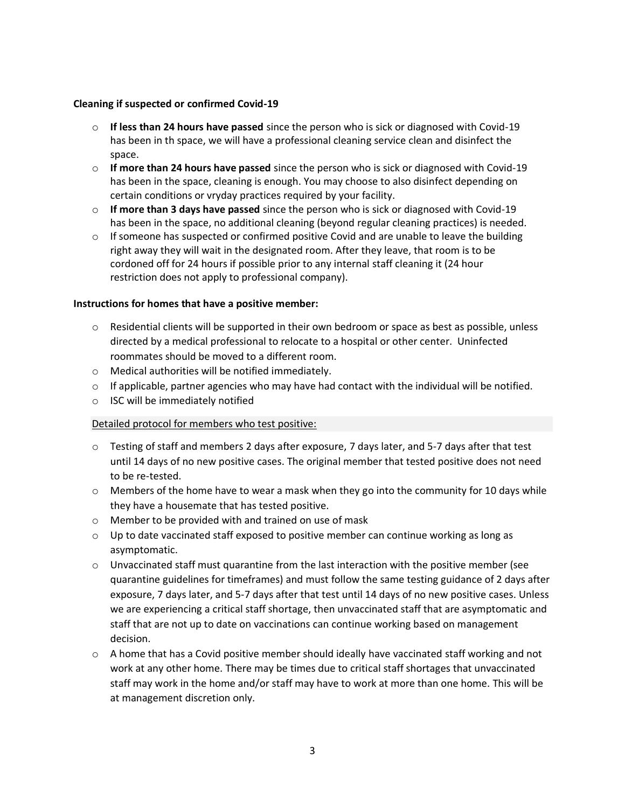## **Cleaning if suspected or confirmed Covid-19**

- o **If less than 24 hours have passed** since the person who is sick or diagnosed with Covid-19 has been in th space, we will have a professional cleaning service clean and disinfect the space.
- o **If more than 24 hours have passed** since the person who is sick or diagnosed with Covid-19 has been in the space, cleaning is enough. You may choose to also disinfect depending on certain conditions or vryday practices required by your facility.
- o **If more than 3 days have passed** since the person who is sick or diagnosed with Covid-19 has been in the space, no additional cleaning (beyond regular cleaning practices) is needed.
- $\circ$  If someone has suspected or confirmed positive Covid and are unable to leave the building right away they will wait in the designated room. After they leave, that room is to be cordoned off for 24 hours if possible prior to any internal staff cleaning it (24 hour restriction does not apply to professional company).

## **Instructions for homes that have a positive member:**

- o Residential clients will be supported in their own bedroom or space as best as possible, unless directed by a medical professional to relocate to a hospital or other center. Uninfected roommates should be moved to a different room.
- o Medical authorities will be notified immediately.
- $\circ$  If applicable, partner agencies who may have had contact with the individual will be notified.
- o ISC will be immediately notified

# Detailed protocol for members who test positive:

- $\circ$  Testing of staff and members 2 days after exposure, 7 days later, and 5-7 days after that test until 14 days of no new positive cases. The original member that tested positive does not need to be re-tested.
- $\circ$  Members of the home have to wear a mask when they go into the community for 10 days while they have a housemate that has tested positive.
- o Member to be provided with and trained on use of mask
- $\circ$  Up to date vaccinated staff exposed to positive member can continue working as long as asymptomatic.
- $\circ$  Unvaccinated staff must quarantine from the last interaction with the positive member (see quarantine guidelines for timeframes) and must follow the same testing guidance of 2 days after exposure, 7 days later, and 5-7 days after that test until 14 days of no new positive cases. Unless we are experiencing a critical staff shortage, then unvaccinated staff that are asymptomatic and staff that are not up to date on vaccinations can continue working based on management decision.
- $\circ$  A home that has a Covid positive member should ideally have vaccinated staff working and not work at any other home. There may be times due to critical staff shortages that unvaccinated staff may work in the home and/or staff may have to work at more than one home. This will be at management discretion only.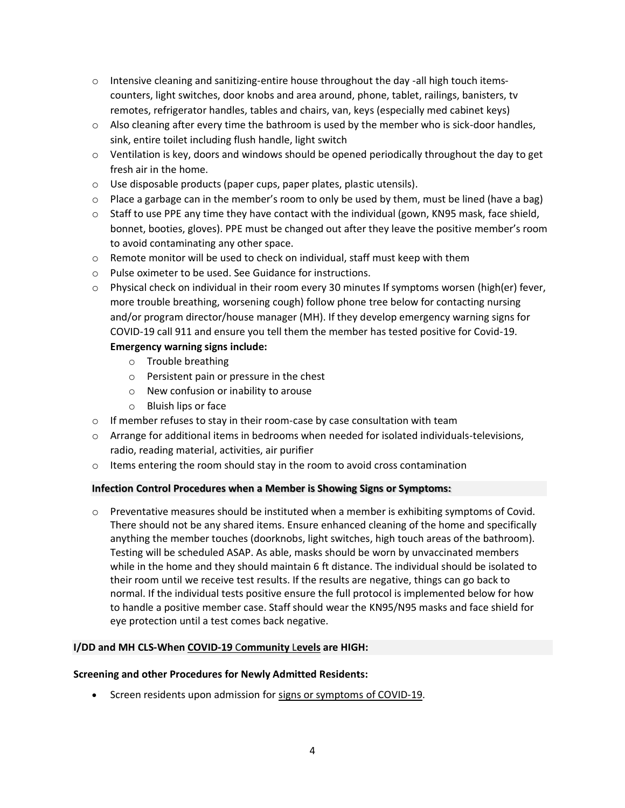- $\circ$  Intensive cleaning and sanitizing-entire house throughout the day -all high touch itemscounters, light switches, door knobs and area around, phone, tablet, railings, banisters, tv remotes, refrigerator handles, tables and chairs, van, keys (especially med cabinet keys)
- $\circ$  Also cleaning after every time the bathroom is used by the member who is sick-door handles, sink, entire toilet including flush handle, light switch
- $\circ$  Ventilation is key, doors and windows should be opened periodically throughout the day to get fresh air in the home.
- o Use disposable products (paper cups, paper plates, plastic utensils).
- $\circ$  Place a garbage can in the member's room to only be used by them, must be lined (have a bag)
- $\circ$  Staff to use PPE any time they have contact with the individual (gown, KN95 mask, face shield, bonnet, booties, gloves). PPE must be changed out after they leave the positive member's room to avoid contaminating any other space.
- o Remote monitor will be used to check on individual, staff must keep with them
- o Pulse oximeter to be used. See Guidance for instructions.
- $\circ$  Physical check on individual in their room every 30 minutes If symptoms worsen (high(er) fever, more trouble breathing, worsening cough) follow phone tree below for contacting nursing and/or program director/house manager (MH). If they develop emergency warning signs for COVID-19 call 911 and ensure you tell them the member has tested positive for Covid-19.

# **Emergency warning signs include:**

- o Trouble breathing
- o Persistent pain or pressure in the chest
- o New confusion or inability to arouse
- o Bluish lips or face
- o If member refuses to stay in their room-case by case consultation with team
- $\circ$  Arrange for additional items in bedrooms when needed for isolated individuals-televisions, radio, reading material, activities, air purifier
- o Items entering the room should stay in the room to avoid cross contamination

# **Infection Control Procedures when a Member is Showing Signs or Symptoms:**

 $\circ$  Preventative measures should be instituted when a member is exhibiting symptoms of Covid. There should not be any shared items. Ensure enhanced cleaning of the home and specifically anything the member touches (doorknobs, light switches, high touch areas of the bathroom). Testing will be scheduled ASAP. As able, masks should be worn by unvaccinated members while in the home and they should maintain 6 ft distance. The individual should be isolated to their room until we receive test results. If the results are negative, things can go back to normal. If the individual tests positive ensure the full protocol is implemented below for how to handle a positive member case. Staff should wear the KN95/N95 masks and face shield for eye protection until a test comes back negative.

# **I/DD and MH CLS-When COVID-19** C**[ommunity](https://www.cdc.gov/coronavirus/2019-ncov/science/community-levels.html)** L**evels are HIGH:**

#### **Screening and other Procedures for Newly Admitted Residents:**

• Screen residents upon admission for [signs or symptoms of COVID-19.](https://www.cdc.gov/coronavirus/2019-ncov/symptoms-testing/symptoms.html)